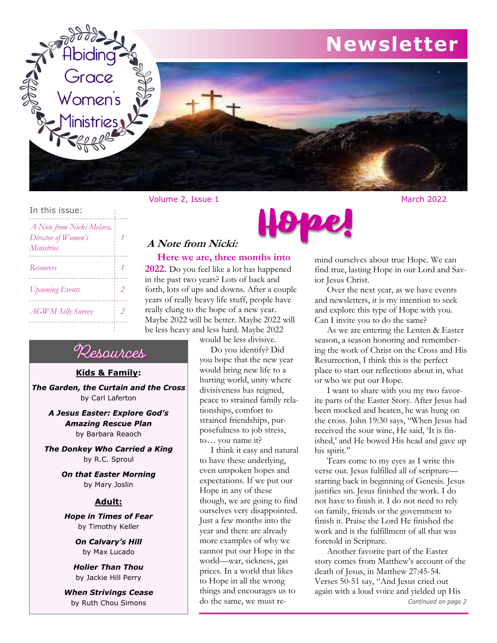

## In this issue: *A Note from Nicki Melara, Director of Women's 1 Ministries Resources 1* -----------------------------*Upcoming Events 2*  $- - - -$

*AGWM Silly Survey 2*

## **Here we are, three months into A Note from Nicki:**

**2022.** Do you feel like a lot has happened in the past two years? Lots of back and forth, lots of ups and downs. After a couple years of really heavy life stuff, people have really clung to the hope of a new year. Maybe 2022 will be better. Maybe 2022 will be less heavy and less hard. Maybe 2022

would be less divisive.

 Do you identify? Did you hope that the new year would bring new life to a hurting world, unity where divisiveness has reigned, peace to strained family relationships, comfort to strained friendships, purposefulness to job stress, to… you name it?

 I think it easy and natural to have these underlying, even unspoken hopes and expectations. If we put our Hope in any of these though, we are going to find ourselves very disappointed. Just a few months into the year and there are already more examples of why we cannot put our Hope in the world—war, sickness, gas prices. In a world that likes to Hope in all the wrong things and encourages us to do the same, we must re-

Hope!

mind ourselves about true Hope. We can find true, lasting Hope in our Lord and Savior Jesus Christ.

Over the next year, as we have events and newsletters, it is my intention to seek and explore this type of Hope with you. Can I invite you to do the same?

As we are entering the Lenten & Easter season, a season honoring and remembering the work of Christ on the Cross and His Resurrection, I think this is the perfect place to start our reflections about in, what or who we put our Hope.

I want to share with you my two favorite parts of the Easter Story. After Jesus had been mocked and beaten, he was hung on the cross. John 19:30 says, "When Jesus had received the sour wine, He said, 'It is finished,' and He bowed His head and gave up his spirit."

Tears come to my eyes as I write this verse out. Jesus fulfilled all of scripture starting back in beginning of Genesis. Jesus justifies sin. Jesus finished the work. I do not have to finish it. I do not need to rely on family, friends or the government to finish it. Praise the Lord He finished the work and is the fulfillment of all that was foretold in Scripture.

Another favorite part of the Easter story comes from Matthew's account of the death of Jesus, in Matthew 27:45-54. Verses 50-51 say, "And Jesus cried out again with a loud voice and yielded up His Continued on page 2

# Resources

 $-$ 

## **Kids & Family:**

The Garden, the Curtain and the Cross by Carl Laferton

> A Jesus Easter: Explore God's **Amazing Rescue Plan** by Barbara Reaoch

The Donkey Who Carried a King by R.C. Sproul

> **On that Easter Morning** by Mary Joslin

#### **Adult:**

**Hope in Times of Fear** by Timothy Keller

> On Calvary's Hill by Max Lucado

*Holier Than Thou* by Jackie Hill Perry

*When Strivings Cease* by Ruth Chou Simons